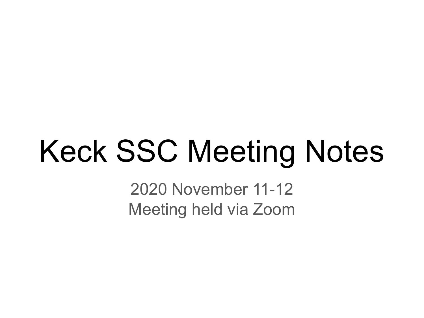# Keck SSC Meeting Notes

2020 November 11-12 Meeting held via Zoom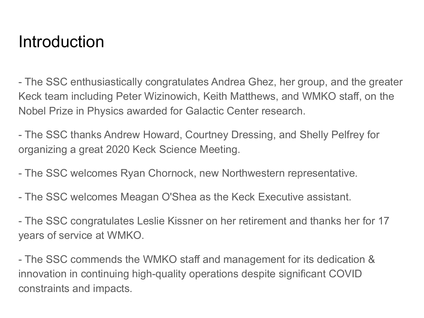#### Introduction

- The SSC enthusiastically congratulates Andrea Ghez, her group, and the greater Keck team including Peter Wizinowich, Keith Matthews, and WMKO staff, on the Nobel Prize in Physics awarded for Galactic Center research.

- The SSC thanks Andrew Howard, Courtney Dressing, and Shelly Pelfrey for organizing a great 2020 Keck Science Meeting.

- The SSC welcomes Ryan Chornock, new Northwestern representative.

- The SSC welcomes Meagan O'Shea as the Keck Executive assistant.

- The SSC congratulates Leslie Kissner on her retirement and thanks her for 17 years of service at WMKO.

- The SSC commends the WMKO staff and management for its dedication & innovation in continuing high-quality operations despite significant COVID constraints and impacts.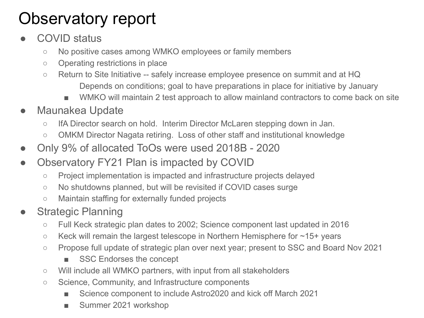# Observatory report

- COVID status
	- No positive cases among WMKO employees or family members
	- Operating restrictions in place
	- Return to Site Initiative -- safely increase employee presence on summit and at HQ Depends on conditions; goal to have preparations in place for initiative by January
		- WMKO will maintain 2 test approach to allow mainland contractors to come back on site
- Maunakea Update
	- IfA Director search on hold. Interim Director McLaren stepping down in Jan.
	- OMKM Director Nagata retiring. Loss of other staff and institutional knowledge
- Only 9% of allocated ToOs were used 2018B 2020
- Observatory FY21 Plan is impacted by COVID
	- Project implementation is impacted and infrastructure projects delayed
	- No shutdowns planned, but will be revisited if COVID cases surge
	- Maintain staffing for externally funded projects
- **Strategic Planning** 
	- Full Keck strategic plan dates to 2002; Science component last updated in 2016
	- Keck will remain the largest telescope in Northern Hemisphere for ~15+ years
	- Propose full update of strategic plan over next year; present to SSC and Board Nov 2021
		- **SSC Endorses the concept**
	- Will include all WMKO partners, with input from all stakeholders
	- Science, Community, and Infrastructure components
		- Science component to include Astro2020 and kick off March 2021
		- Summer 2021 workshop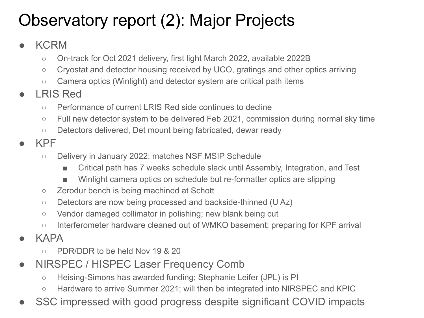# Observatory report (2): Major Projects

#### ● KCRM

- On-track for Oct 2021 delivery, first light March 2022, available 2022B
- Cryostat and detector housing received by UCO, gratings and other optics arriving
- Camera optics (Winlight) and detector system are critical path items
- LRIS Red
	- Performance of current LRIS Red side continues to decline
	- Full new detector system to be delivered Feb 2021, commission during normal sky time
	- Detectors delivered, Det mount being fabricated, dewar ready
- KPF
	- Delivery in January 2022: matches NSF MSIP Schedule
		- Critical path has 7 weeks schedule slack until Assembly, Integration, and Test
		- Winlight camera optics on schedule but re-formatter optics are slipping
	- Zerodur bench is being machined at Schott
	- Detectors are now being processed and backside-thinned (U Az)
	- Vendor damaged collimator in polishing; new blank being cut
	- Interferometer hardware cleaned out of WMKO basement; preparing for KPF arrival
- **KAPA** 
	- PDR/DDR to be held Nov 19 & 20
- NIRSPEC / HISPEC Laser Frequency Comb
	- Heising-Simons has awarded funding; Stephanie Leifer (JPL) is PI
	- Hardware to arrive Summer 2021; will then be integrated into NIRSPEC and KPIC
- SSC impressed with good progress despite significant COVID impacts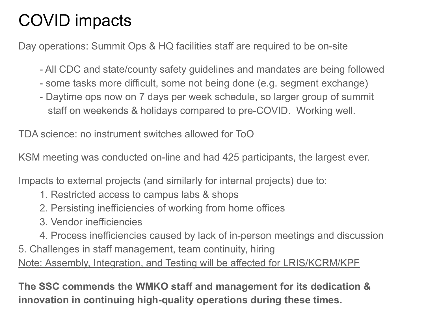# COVID impacts

Day operations: Summit Ops & HQ facilities staff are required to be on-site

- All CDC and state/county safety guidelines and mandates are being followed
- some tasks more difficult, some not being done (e.g. segment exchange)
- Daytime ops now on 7 days per week schedule, so larger group of summit staff on weekends & holidays compared to pre-COVID. Working well.

TDA science: no instrument switches allowed for ToO

KSM meeting was conducted on-line and had 425 participants, the largest ever.

Impacts to external projects (and similarly for internal projects) due to:

- 1. Restricted access to campus labs & shops
- 2. Persisting inefficiencies of working from home offices
- 3. Vendor inefficiencies
- 4. Process inefficiencies caused by lack of in-person meetings and discussion
- 5. Challenges in staff management, team continuity, hiring Note: Assembly, Integration, and Testing will be affected for LRIS/KCRM/KPF

**The SSC commends the WMKO staff and management for its dedication & innovation in continuing high-quality operations during these times.**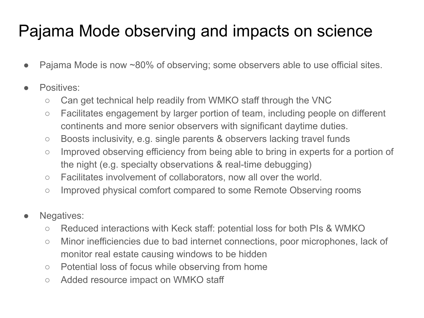### Pajama Mode observing and impacts on science

- Pajama Mode is now ~80% of observing; some observers able to use official sites.
- Positives:
	- Can get technical help readily from WMKO staff through the VNC
	- Facilitates engagement by larger portion of team, including people on different continents and more senior observers with significant daytime duties.
	- Boosts inclusivity, e.g. single parents & observers lacking travel funds
	- Improved observing efficiency from being able to bring in experts for a portion of the night (e.g. specialty observations & real-time debugging)
	- Facilitates involvement of collaborators, now all over the world.
	- Improved physical comfort compared to some Remote Observing rooms
- Negatives:
	- Reduced interactions with Keck staff: potential loss for both PIs & WMKO
	- Minor inefficiencies due to bad internet connections, poor microphones, lack of monitor real estate causing windows to be hidden
	- Potential loss of focus while observing from home
	- Added resource impact on WMKO staff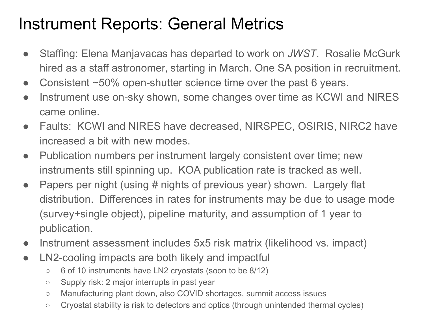#### Instrument Reports: General Metrics

- Staffing: Elena Manjavacas has departed to work on *JWST*. Rosalie McGurk hired as a staff astronomer, starting in March. One SA position in recruitment.
- Consistent ~50% open-shutter science time over the past 6 years.
- Instrument use on-sky shown, some changes over time as KCWI and NIRES came online.
- Faults: KCWI and NIRES have decreased, NIRSPEC, OSIRIS, NIRC2 have increased a bit with new modes.
- Publication numbers per instrument largely consistent over time; new instruments still spinning up. KOA publication rate is tracked as well.
- Papers per night (using # nights of previous year) shown. Largely flat distribution. Differences in rates for instruments may be due to usage mode (survey+single object), pipeline maturity, and assumption of 1 year to publication.
- Instrument assessment includes 5x5 risk matrix (likelihood vs. impact)
- LN2-cooling impacts are both likely and impactful
	- 6 of 10 instruments have LN2 cryostats (soon to be 8/12)
	- Supply risk: 2 major interrupts in past year
	- Manufacturing plant down, also COVID shortages, summit access issues
	- Cryostat stability is risk to detectors and optics (through unintended thermal cycles)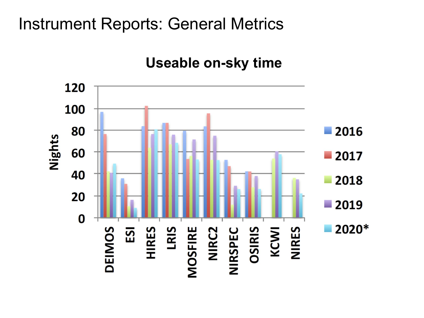#### Instrument Reports: General Metrics

#### **Useable on-sky time**

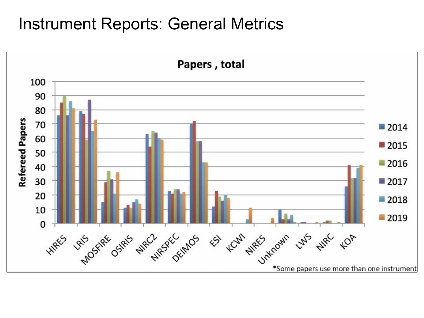#### Instrument Reports: General Metrics

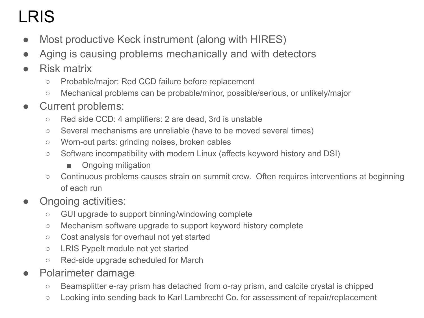# LRIS

- Most productive Keck instrument (along with HIRES)
- Aging is causing problems mechanically and with detectors
- Risk matrix
	- Probable/major: Red CCD failure before replacement
	- Mechanical problems can be probable/minor, possible/serious, or unlikely/major
- Current problems:
	- Red side CCD: 4 amplifiers: 2 are dead, 3rd is unstable
	- Several mechanisms are unreliable (have to be moved several times)
	- Worn-out parts: grinding noises, broken cables
	- Software incompatibility with modern Linux (affects keyword history and DSI)
		- Ongoing mitigation
	- Continuous problems causes strain on summit crew. Often requires interventions at beginning of each run
- Ongoing activities:
	- GUI upgrade to support binning/windowing complete
	- Mechanism software upgrade to support keyword history complete
	- Cost analysis for overhaul not yet started
	- LRIS PypeIt module not yet started
	- Red-side upgrade scheduled for March
- Polarimeter damage
	- Beamsplitter e-ray prism has detached from o-ray prism, and calcite crystal is chipped
	- Looking into sending back to Karl Lambrecht Co. for assessment of repair/replacement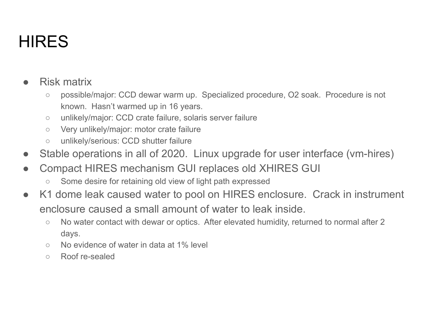# **HIRES**

#### Risk matrix

- possible/major: CCD dewar warm up. Specialized procedure, O2 soak. Procedure is not known. Hasn't warmed up in 16 years.
- unlikely/major: CCD crate failure, solaris server failure
- Very unlikely/major: motor crate failure
- unlikely/serious: CCD shutter failure
- Stable operations in all of 2020. Linux upgrade for user interface (vm-hires)
- Compact HIRES mechanism GUI replaces old XHIRES GUI
	- Some desire for retaining old view of light path expressed
- K1 dome leak caused water to pool on HIRES enclosure. Crack in instrument enclosure caused a small amount of water to leak inside.
	- No water contact with dewar or optics. After elevated humidity, returned to normal after 2 days.
	- No evidence of water in data at 1% level
	- Roof re-sealed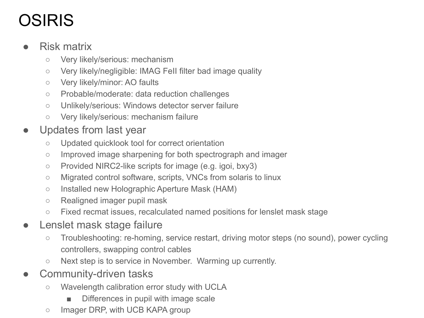# **OSIRIS**

#### ● Risk matrix

- Very likely/serious: mechanism
- Very likely/negligible: IMAG FeII filter bad image quality
- Very likely/minor: AO faults
- Probable/moderate: data reduction challenges
- Unlikely/serious: Windows detector server failure
- Very likely/serious: mechanism failure
- Updates from last year
	- Updated quicklook tool for correct orientation
	- Improved image sharpening for both spectrograph and imager
	- Provided NIRC2-like scripts for image (e.g. igoi, bxy3)
	- Migrated control software, scripts, VNCs from solaris to linux
	- Installed new Holographic Aperture Mask (HAM)
	- Realigned imager pupil mask
	- Fixed recmat issues, recalculated named positions for lenslet mask stage
- Lenslet mask stage failure
	- Troubleshooting: re-homing, service restart, driving motor steps (no sound), power cycling controllers, swapping control cables
	- Next step is to service in November. Warming up currently.
- Community-driven tasks
	- Wavelength calibration error study with UCLA
		- Differences in pupil with image scale
	- Imager DRP, with UCB KAPA group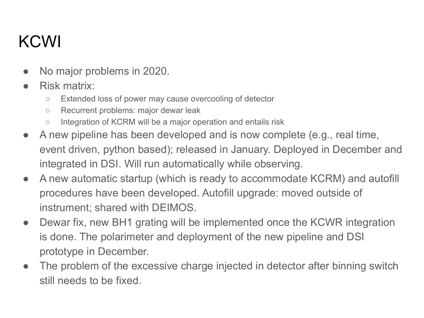### KCWI

- No major problems in 2020.
- Risk matrix:
	- Extended loss of power may cause overcooling of detector
	- Recurrent problems: major dewar leak
	- Integration of KCRM will be a major operation and entails risk
- A new pipeline has been developed and is now complete (e.g., real time, event driven, python based); released in January. Deployed in December and integrated in DSI. Will run automatically while observing.
- A new automatic startup (which is ready to accommodate KCRM) and autofill procedures have been developed. Autofill upgrade: moved outside of instrument; shared with DEIMOS.
- Dewar fix, new BH1 grating will be implemented once the KCWR integration is done. The polarimeter and deployment of the new pipeline and DSI prototype in December.
- The problem of the excessive charge injected in detector after binning switch still needs to be fixed.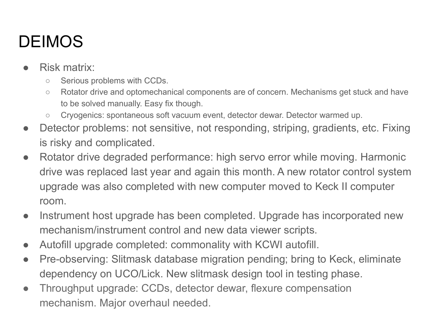# **DEIMOS**

- Risk matrix:
	- Serious problems with CCDs.
	- Rotator drive and optomechanical components are of concern. Mechanisms get stuck and have to be solved manually. Easy fix though.
	- Cryogenics: spontaneous soft vacuum event, detector dewar. Detector warmed up.
- Detector problems: not sensitive, not responding, striping, gradients, etc. Fixing is risky and complicated.
- Rotator drive degraded performance: high servo error while moving. Harmonic drive was replaced last year and again this month. A new rotator control system upgrade was also completed with new computer moved to Keck II computer room.
- Instrument host upgrade has been completed. Upgrade has incorporated new mechanism/instrument control and new data viewer scripts.
- Autofill upgrade completed: commonality with KCWI autofill.
- Pre-observing: Slitmask database migration pending; bring to Keck, eliminate dependency on UCO/Lick. New slitmask design tool in testing phase.
- Throughput upgrade: CCDs, detector dewar, flexure compensation mechanism. Major overhaul needed.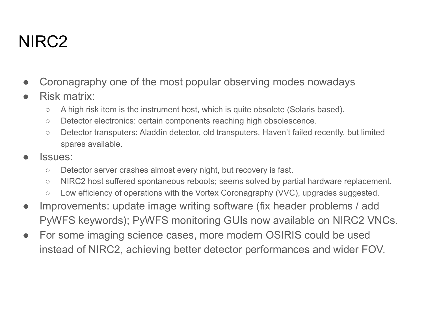#### NIRC2

- Coronagraphy one of the most popular observing modes nowadays
- Risk matrix:
	- A high risk item is the instrument host, which is quite obsolete (Solaris based).
	- Detector electronics: certain components reaching high obsolescence.
	- Detector transputers: Aladdin detector, old transputers. Haven't failed recently, but limited spares available.
- Issues:
	- Detector server crashes almost every night, but recovery is fast.
	- NIRC2 host suffered spontaneous reboots; seems solved by partial hardware replacement.
	- Low efficiency of operations with the Vortex Coronagraphy (VVC), upgrades suggested.
- Improvements: update image writing software (fix header problems / add PyWFS keywords); PyWFS monitoring GUIs now available on NIRC2 VNCs.
- For some imaging science cases, more modern OSIRIS could be used instead of NIRC2, achieving better detector performances and wider FOV.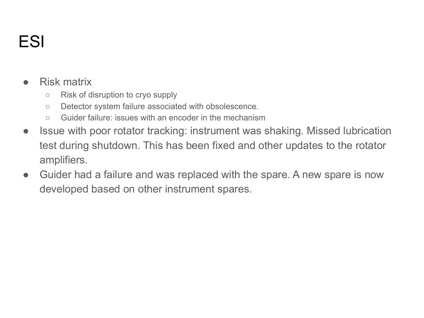### ESI

#### Risk matrix

- Risk of disruption to cryo supply
- Detector system failure associated with obsolescence.
- Guider failure: issues with an encoder in the mechanism
- Issue with poor rotator tracking: instrument was shaking. Missed lubrication test during shutdown. This has been fixed and other updates to the rotator amplifiers.
- Guider had a failure and was replaced with the spare. A new spare is now developed based on other instrument spares.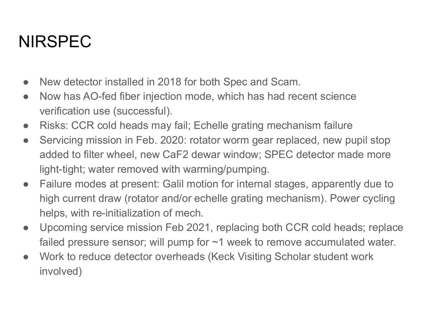#### NIRSPEC

- New detector installed in 2018 for both Spec and Scam.
- Now has AO-fed fiber injection mode, which has had recent science verification use (successful).
- Risks: CCR cold heads may fail; Echelle grating mechanism failure
- Servicing mission in Feb. 2020: rotator worm gear replaced, new pupil stop added to filter wheel, new CaF2 dewar window; SPEC detector made more light-tight; water removed with warming/pumping.
- Failure modes at present: Galil motion for internal stages, apparently due to high current draw (rotator and/or echelle grating mechanism). Power cycling helps, with re-initialization of mech.
- Upcoming service mission Feb 2021, replacing both CCR cold heads; replace failed pressure sensor; will pump for ~1 week to remove accumulated water.
- Work to reduce detector overheads (Keck Visiting Scholar student work involved)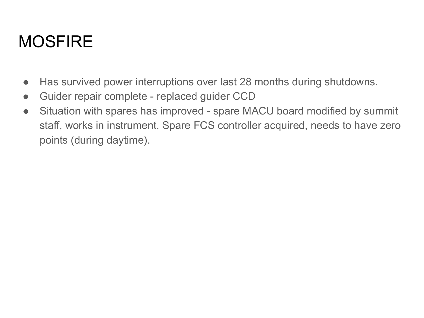#### **MOSFIRE**

- Has survived power interruptions over last 28 months during shutdowns.
- Guider repair complete replaced guider CCD
- Situation with spares has improved spare MACU board modified by summit staff, works in instrument. Spare FCS controller acquired, needs to have zero points (during daytime).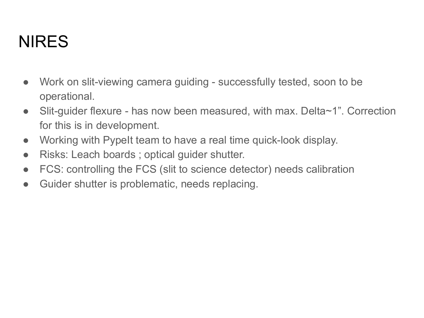### NIRES

- Work on slit-viewing camera guiding successfully tested, soon to be operational.
- Slit-guider flexure has now been measured, with max. Delta~1". Correction for this is in development.
- Working with PypeIt team to have a real time quick-look display.
- Risks: Leach boards; optical guider shutter.
- FCS: controlling the FCS (slit to science detector) needs calibration
- Guider shutter is problematic, needs replacing.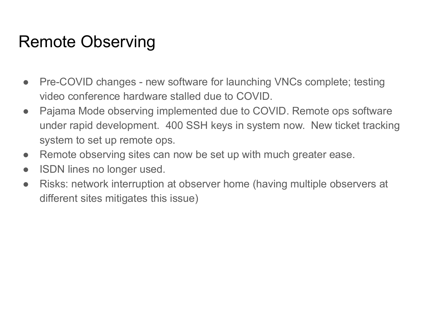#### Remote Observing

- Pre-COVID changes new software for launching VNCs complete; testing video conference hardware stalled due to COVID.
- Pajama Mode observing implemented due to COVID. Remote ops software under rapid development. 400 SSH keys in system now. New ticket tracking system to set up remote ops.
- Remote observing sites can now be set up with much greater ease.
- ISDN lines no longer used.
- Risks: network interruption at observer home (having multiple observers at different sites mitigates this issue)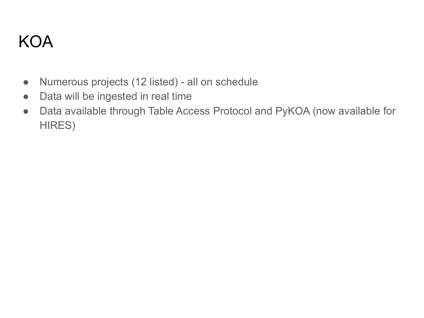#### KOA

- Numerous projects (12 listed) all on schedule
- Data will be ingested in real time
- Data available through Table Access Protocol and PyKOA (now available for HIRES)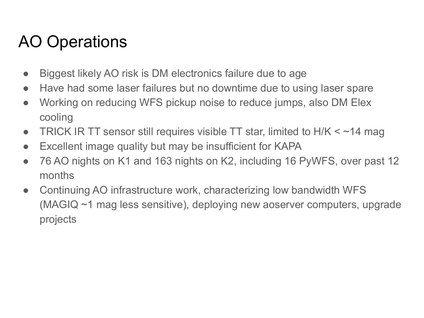### AO Operations

- Biggest likely AO risk is DM electronics failure due to age
- Have had some laser failures but no downtime due to using laser spare
- Working on reducing WFS pickup noise to reduce jumps, also DM Elex cooling
- TRICK IR TT sensor still requires visible TT star, limited to  $H/K < -14$  mag
- Excellent image quality but may be insufficient for KAPA
- 76 AO nights on K1 and 163 nights on K2, including 16 PyWFS, over past 12 months
- Continuing AO infrastructure work, characterizing low bandwidth WFS (MAGIQ ~1 mag less sensitive), deploying new aoserver computers, upgrade projects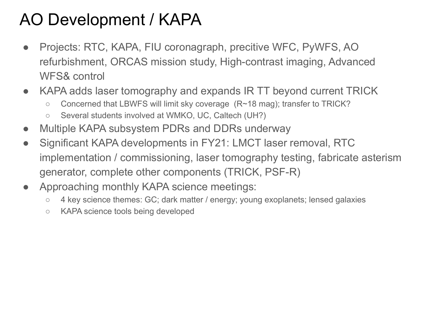### AO Development / KAPA

- Projects: RTC, KAPA, FIU coronagraph, precitive WFC, PyWFS, AO refurbishment, ORCAS mission study, High-contrast imaging, Advanced WFS& control
- KAPA adds laser tomography and expands IR TT beyond current TRICK
	- Concerned that LBWFS will limit sky coverage (R~18 mag); transfer to TRICK?
	- Several students involved at WMKO, UC, Caltech (UH?)
- Multiple KAPA subsystem PDRs and DDRs underway
- Significant KAPA developments in FY21: LMCT laser removal, RTC implementation / commissioning, laser tomography testing, fabricate asterism generator, complete other components (TRICK, PSF-R)
- Approaching monthly KAPA science meetings:
	- 4 key science themes: GC; dark matter / energy; young exoplanets; lensed galaxies
	- KAPA science tools being developed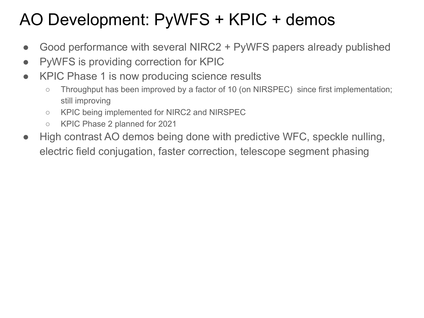### AO Development: PyWFS + KPIC + demos

- Good performance with several NIRC2 + PyWFS papers already published
- PyWFS is providing correction for KPIC
- KPIC Phase 1 is now producing science results
	- Throughput has been improved by a factor of 10 (on NIRSPEC) since first implementation; still improving
	- KPIC being implemented for NIRC2 and NIRSPEC
	- KPIC Phase 2 planned for 2021
- High contrast AO demos being done with predictive WFC, speckle nulling, electric field conjugation, faster correction, telescope segment phasing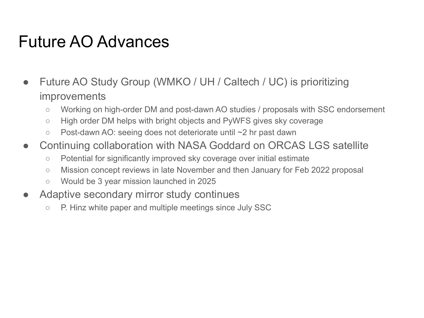#### Future AO Advances

- Future AO Study Group (WMKO / UH / Caltech / UC) is prioritizing improvements
	- Working on high-order DM and post-dawn AO studies / proposals with SSC endorsement
	- High order DM helps with bright objects and PyWFS gives sky coverage
	- Post-dawn AO: seeing does not deteriorate until ~2 hr past dawn
- Continuing collaboration with NASA Goddard on ORCAS LGS satellite
	- Potential for significantly improved sky coverage over initial estimate
	- Mission concept reviews in late November and then January for Feb 2022 proposal
	- Would be 3 year mission launched in 2025
- Adaptive secondary mirror study continues
	- P. Hinz white paper and multiple meetings since July SSC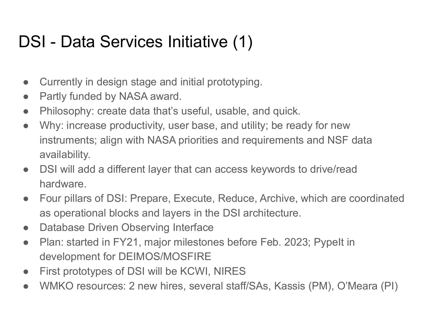### DSI - Data Services Initiative (1)

- Currently in design stage and initial prototyping.
- Partly funded by NASA award.
- Philosophy: create data that's useful, usable, and quick.
- Why: increase productivity, user base, and utility; be ready for new instruments; align with NASA priorities and requirements and NSF data availability.
- DSI will add a different layer that can access keywords to drive/read hardware.
- Four pillars of DSI: Prepare, Execute, Reduce, Archive, which are coordinated as operational blocks and layers in the DSI architecture.
- Database Driven Observing Interface
- Plan: started in FY21, major milestones before Feb. 2023; PypeIt in development for DEIMOS/MOSFIRE
- First prototypes of DSI will be KCWI, NIRES
- WMKO resources: 2 new hires, several staff/SAs, Kassis (PM), O'Meara (PI)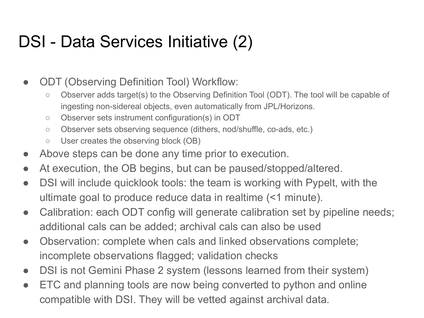#### DSI - Data Services Initiative (2)

- ODT (Observing Definition Tool) Workflow:
	- Observer adds target(s) to the Observing Definition Tool (ODT). The tool will be capable of ingesting non-sidereal objects, even automatically from JPL/Horizons.
	- Observer sets instrument configuration(s) in ODT
	- Observer sets observing sequence (dithers, nod/shuffle, co-ads, etc.)
	- User creates the observing block (OB)
- Above steps can be done any time prior to execution.
- At execution, the OB begins, but can be paused/stopped/altered.
- DSI will include quicklook tools: the team is working with Pypelt, with the ultimate goal to produce reduce data in realtime (<1 minute).
- Calibration: each ODT config will generate calibration set by pipeline needs; additional cals can be added; archival cals can also be used
- Observation: complete when cals and linked observations complete; incomplete observations flagged; validation checks
- DSI is not Gemini Phase 2 system (lessons learned from their system)
- ETC and planning tools are now being converted to python and online compatible with DSI. They will be vetted against archival data.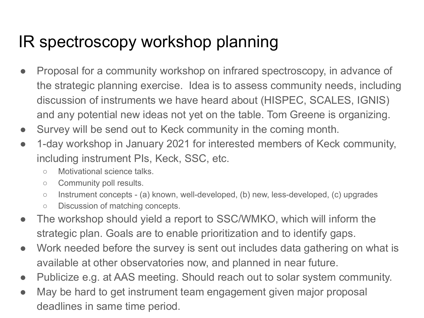#### IR spectroscopy workshop planning

- Proposal for a community workshop on infrared spectroscopy, in advance of the strategic planning exercise. Idea is to assess community needs, including discussion of instruments we have heard about (HISPEC, SCALES, IGNIS) and any potential new ideas not yet on the table. Tom Greene is organizing.
- Survey will be send out to Keck community in the coming month.
- 1-day workshop in January 2021 for interested members of Keck community, including instrument PIs, Keck, SSC, etc.
	- Motivational science talks.
	- Community poll results.
	- Instrument concepts (a) known, well-developed, (b) new, less-developed, (c) upgrades
	- Discussion of matching concepts.
- The workshop should yield a report to SSC/WMKO, which will inform the strategic plan. Goals are to enable prioritization and to identify gaps.
- Work needed before the survey is sent out includes data gathering on what is available at other observatories now, and planned in near future.
- Publicize e.g. at AAS meeting. Should reach out to solar system community.
- May be hard to get instrument team engagement given major proposal deadlines in same time period.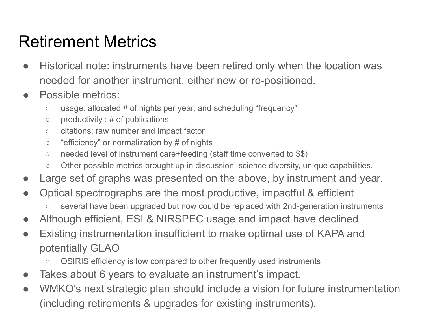#### Retirement Metrics

- Historical note: instruments have been retired only when the location was needed for another instrument, either new or re-positioned.
- Possible metrics:
	- $\circ$  usage: allocated # of nights per year, and scheduling "frequency"
	- $\circ$  productivity : # of publications
	- citations: raw number and impact factor
	- "efficiency" or normalization by # of nights
	- needed level of instrument care+feeding (staff time converted to \$\$)
	- Other possible metrics brought up in discussion: science diversity, unique capabilities.
- Large set of graphs was presented on the above, by instrument and year.
- Optical spectrographs are the most productive, impactful & efficient
	- several have been upgraded but now could be replaced with 2nd-generation instruments
- Although efficient, ESI & NIRSPEC usage and impact have declined
- Existing instrumentation insufficient to make optimal use of KAPA and potentially GLAO
	- OSIRIS efficiency is low compared to other frequently used instruments
- Takes about 6 years to evaluate an instrument's impact.
- WMKO's next strategic plan should include a vision for future instrumentation (including retirements & upgrades for existing instruments).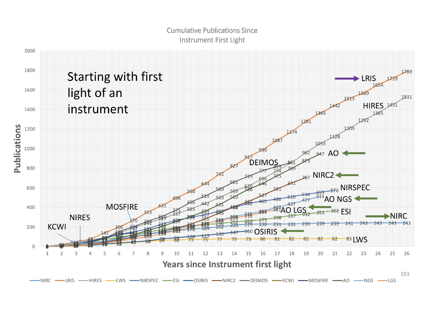#### **Cumulative Publications Since** Instrument First Light